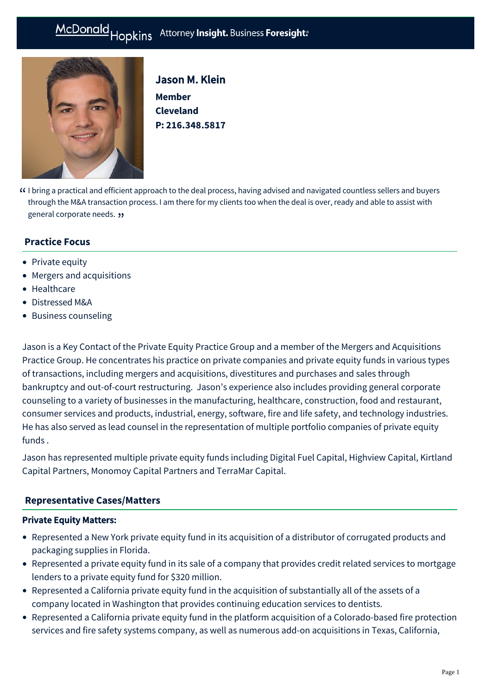#### Hopkins Attorney Insight. Business Foresight: McDonald



Jason M. Klein **Member Cleveland P: [216.348.5817](tel:216.348.5817)**

I bring a practical and efficient approach to the deal process, having advised and navigated countless sellers and buyers " through the M&A transaction process. I am there for my clients too when the deal is over, ready and able to assist with general corporate needs. "

# **Practice Focus**

- [Private equity](https://mcdonaldhopkins.com/Expertise/Business-counseling/Private-equity)
- [Mergers and acquisitions](https://mcdonaldhopkins.com/Expertise/Mergers-and-acquisitions)
- [Healthcare](https://mcdonaldhopkins.com/Expertise/Business-counseling/Business-Restart-Task-Force/Healthcare)
- [Distressed M&A](https://mcdonaldhopkins.com/Expertise/Strategic-advisory-and-restructuring/Distressed-M-A)
- [Business counseling](https://mcdonaldhopkins.com/Expertise/Business-counseling)

Jason is a Key Contact of the Private Equity Practice Group and a member of the Mergers and Acquisitions Practice Group. He concentrates his practice on private companies and private equity funds in various types of transactions, including mergers and acquisitions, divestitures and purchases and sales through bankruptcy and out-of-court restructuring. Jason's experience also includes providing general corporate counseling to a variety of businesses in the manufacturing, healthcare, construction, food and restaurant, consumer services and products, industrial, energy, software, fire and life safety, and technology industries. He has also served as lead counsel in the representation of multiple portfolio companies of private equity funds .

Jason has represented multiple private equity funds including Digital Fuel Capital, Highview Capital, Kirtland Capital Partners, Monomoy Capital Partners and TerraMar Capital.

## **[Representative Cases/Matters](#page-0-0)**

## <span id="page-0-0"></span>Private Equity Matters:

- Represented a New York private equity fund in its acquisition of a distributor of corrugated products and packaging supplies in Florida.
- Represented a private equity fund in its sale of a company that provides credit related services to mortgage lenders to a private equity fund for \$320 million.
- Represented a California private equity fund in the acquisition of substantially all of the assets of a company located in Washington that provides continuing education services to dentists.
- Represented a California private equity fund in the platform acquisition of a Colorado-based fire protection services and fire safety systems company, as well as numerous add-on acquisitions in Texas, California,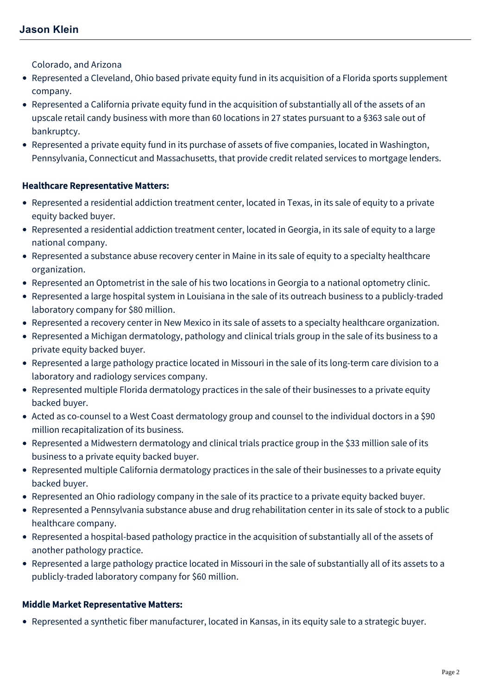Colorado, and Arizona

- Represented a Cleveland, Ohio based private equity fund in its acquisition of a Florida sports supplement company.
- Represented a California private equity fund in the acquisition of substantially all of the assets of an upscale retail candy business with more than 60 locations in 27 states pursuant to a §363 sale out of bankruptcy.
- Represented a private equity fund in its purchase of assets of five companies, located in Washington, Pennsylvania, Connecticut and Massachusetts, that provide credit related services to mortgage lenders.

## Healthcare Representative Matters:

- Represented a residential addiction treatment center, located in Texas, in its sale of equity to a private equity backed buyer.
- Represented a residential addiction treatment center, located in Georgia, in its sale of equity to a large national company.
- Represented a substance abuse recovery center in Maine in its sale of equity to a specialty healthcare organization.
- Represented an Optometrist in the sale of his two locations in Georgia to a national optometry clinic.
- Represented a large hospital system in Louisiana in the sale of its outreach business to a publicly-traded laboratory company for \$80 million.
- Represented a recovery center in New Mexico in its sale of assets to a specialty healthcare organization.
- Represented a Michigan dermatology, pathology and clinical trials group in the sale of its business to a private equity backed buyer.
- Represented a large pathology practice located in Missouri in the sale of its long-term care division to a laboratory and radiology services company.
- Represented multiple Florida dermatology practices in the sale of their businesses to a private equity backed buyer.
- Acted as co-counsel to a West Coast dermatology group and counsel to the individual doctors in a \$90 million recapitalization of its business.
- Represented a Midwestern dermatology and clinical trials practice group in the \$33 million sale of its business to a private equity backed buyer.
- Represented multiple California dermatology practices in the sale of their businesses to a private equity backed buyer.
- Represented an Ohio radiology company in the sale of its practice to a private equity backed buyer.
- Represented a Pennsylvania substance abuse and drug rehabilitation center in its sale of stock to a public healthcare company.
- Represented a hospital-based pathology practice in the acquisition of substantially all of the assets of another pathology practice.
- Represented a large pathology practice located in Missouri in the sale of substantially all of its assets to a publicly-traded laboratory company for \$60 million.

# Middle Market Representative Matters:

Represented a synthetic fiber manufacturer, located in Kansas, in its equity sale to a strategic buyer.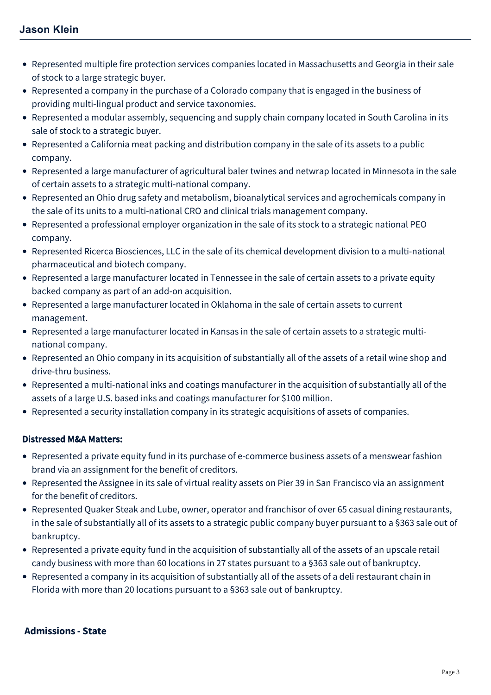# **Jason Klein**

- Represented multiple fire protection services companies located in Massachusetts and Georgia in their sale of stock to a large strategic buyer.
- Represented a company in the purchase of a Colorado company that is engaged in the business of providing multi-lingual product and service taxonomies.
- Represented a modular assembly, sequencing and supply chain company located in South Carolina in its sale of stock to a strategic buyer.
- Represented a California meat packing and distribution company in the sale of its assets to a public company.
- Represented a large manufacturer of agricultural baler twines and netwrap located in Minnesota in the sale of certain assets to a strategic multi-national company.
- Represented an Ohio drug safety and metabolism, bioanalytical services and agrochemicals company in the sale of its units to a multi-national CRO and clinical trials management company.
- Represented a professional employer organization in the sale of its stock to a strategic national PEO company.
- Represented Ricerca Biosciences, LLC in the sale of its chemical development division to a multi-national pharmaceutical and biotech company.
- Represented a large manufacturer located in Tennessee in the sale of certain assets to a private equity backed company as part of an add-on acquisition.
- Represented a large manufacturer located in Oklahoma in the sale of certain assets to current management.
- Represented a large manufacturer located in Kansas in the sale of certain assets to a strategic multinational company.
- Represented an Ohio company in its acquisition of substantially all of the assets of a retail wine shop and drive-thru business.
- Represented a multi-national inks and coatings manufacturer in the acquisition of substantially all of the assets of a large U.S. based inks and coatings manufacturer for \$100 million.
- Represented a security installation company in its strategic acquisitions of assets of companies.

# Distressed M&A Matters:

- Represented a private equity fund in its purchase of e-commerce business assets of a menswear fashion brand via an assignment for the benefit of creditors.
- Represented the Assignee in its sale of virtual reality assets on Pier 39 in San Francisco via an assignment for the benefit of creditors.
- Represented Quaker Steak and Lube, owner, operator and franchisor of over 65 casual dining restaurants, in the sale of substantially all of its assets to a strategic public company buyer pursuant to a §363 sale out of bankruptcy.
- Represented a private equity fund in the acquisition of substantially all of the assets of an upscale retail candy business with more than 60 locations in 27 states pursuant to a §363 sale out of bankruptcy.
- Represented a company in its acquisition of substantially all of the assets of a deli restaurant chain in Florida with more than 20 locations pursuant to a §363 sale out of bankruptcy.

# **Admissions - State**